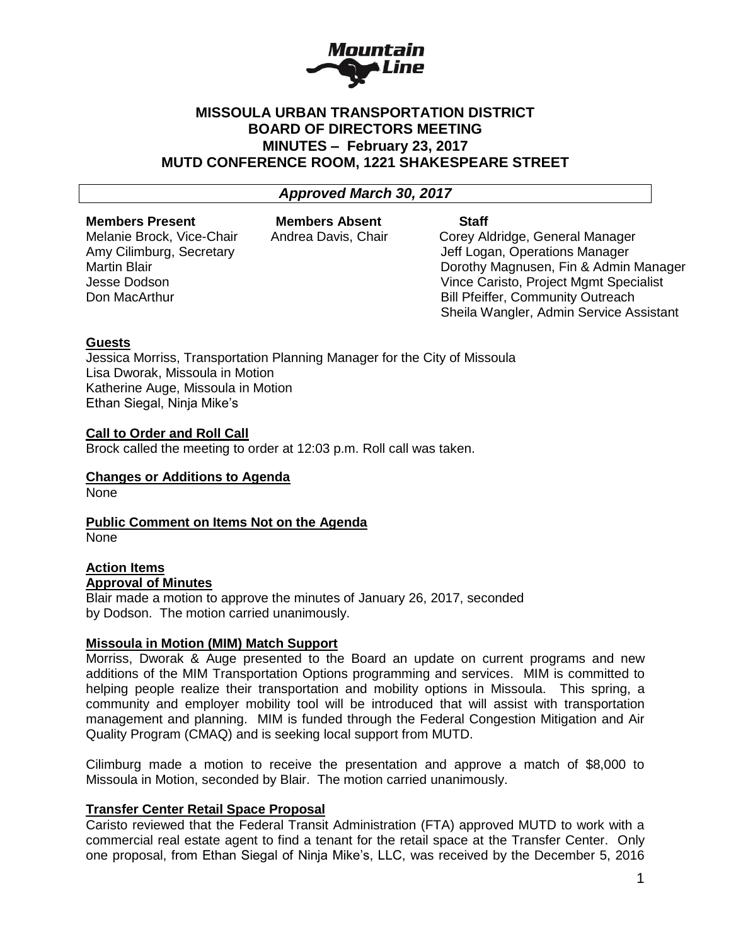

# **MISSOULA URBAN TRANSPORTATION DISTRICT BOARD OF DIRECTORS MEETING MINUTES – February 23, 2017 MUTD CONFERENCE ROOM, 1221 SHAKESPEARE STREET**

*Approved March 30, 2017*

#### **Members Present Members Absent Staff**

Melanie Brock, Vice-Chair Andrea Davis, Chair Corey Aldridge, General Manager Amy Cilimburg, Secretary **Amy Cilimburg, Secretary Contract Contract Contract Contract Contract Contract Contract Contract Contract Contract Contract Contract Contract Contract Contract Contract Contract Contract Contract** Martin Blair Dorothy Magnusen, Fin & Admin Manager Jesse Dodson Vince Caristo, Project Mgmt Specialist Don MacArthur **Bill Pfeiffer, Community Outreach** Sheila Wangler, Admin Service Assistant

# **Guests**

Jessica Morriss, Transportation Planning Manager for the City of Missoula Lisa Dworak, Missoula in Motion Katherine Auge, Missoula in Motion Ethan Siegal, Ninja Mike's

# **Call to Order and Roll Call**

Brock called the meeting to order at 12:03 p.m. Roll call was taken.

### **Changes or Additions to Agenda**

None

**Public Comment on Items Not on the Agenda** None

#### **Action Items Approval of Minutes**

Blair made a motion to approve the minutes of January 26, 2017, seconded by Dodson. The motion carried unanimously.

### **Missoula in Motion (MIM) Match Support**

Morriss, Dworak & Auge presented to the Board an update on current programs and new additions of the MIM Transportation Options programming and services. MIM is committed to helping people realize their transportation and mobility options in Missoula. This spring, a community and employer mobility tool will be introduced that will assist with transportation management and planning. MIM is funded through the Federal Congestion Mitigation and Air Quality Program (CMAQ) and is seeking local support from MUTD.

Cilimburg made a motion to receive the presentation and approve a match of \$8,000 to Missoula in Motion, seconded by Blair. The motion carried unanimously.

### **Transfer Center Retail Space Proposal**

Caristo reviewed that the Federal Transit Administration (FTA) approved MUTD to work with a commercial real estate agent to find a tenant for the retail space at the Transfer Center. Only one proposal, from Ethan Siegal of Ninja Mike's, LLC, was received by the December 5, 2016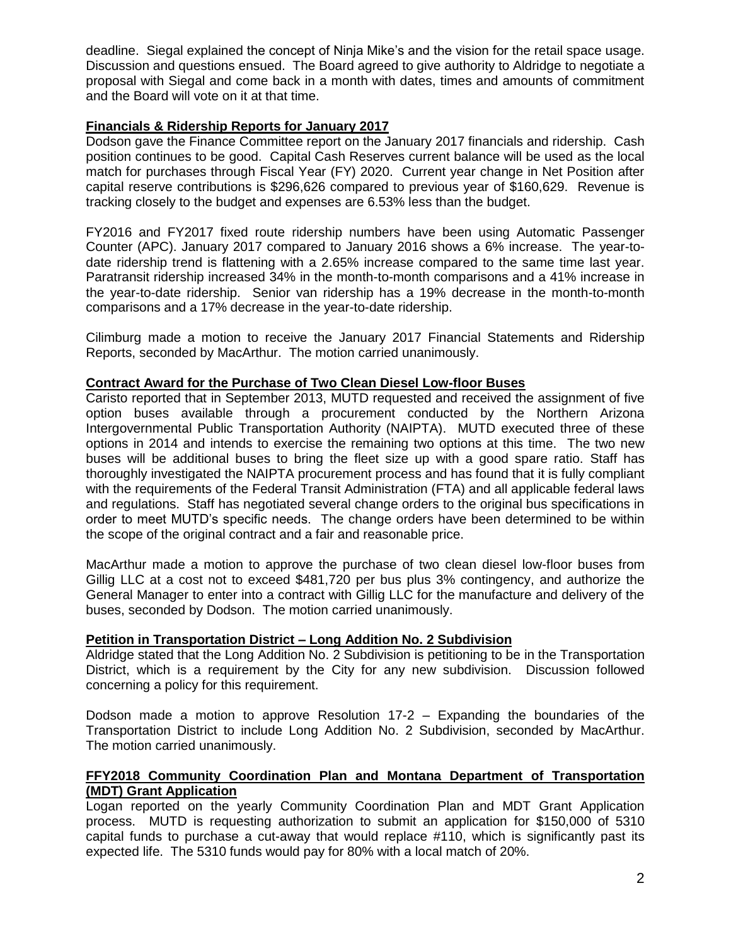deadline. Siegal explained the concept of Ninja Mike's and the vision for the retail space usage. Discussion and questions ensued. The Board agreed to give authority to Aldridge to negotiate a proposal with Siegal and come back in a month with dates, times and amounts of commitment and the Board will vote on it at that time.

# **Financials & Ridership Reports for January 2017**

Dodson gave the Finance Committee report on the January 2017 financials and ridership. Cash position continues to be good. Capital Cash Reserves current balance will be used as the local match for purchases through Fiscal Year (FY) 2020. Current year change in Net Position after capital reserve contributions is \$296,626 compared to previous year of \$160,629. Revenue is tracking closely to the budget and expenses are 6.53% less than the budget.

FY2016 and FY2017 fixed route ridership numbers have been using Automatic Passenger Counter (APC). January 2017 compared to January 2016 shows a 6% increase. The year-todate ridership trend is flattening with a 2.65% increase compared to the same time last year. Paratransit ridership increased 34% in the month-to-month comparisons and a 41% increase in the year-to-date ridership. Senior van ridership has a 19% decrease in the month-to-month comparisons and a 17% decrease in the year-to-date ridership.

Cilimburg made a motion to receive the January 2017 Financial Statements and Ridership Reports, seconded by MacArthur. The motion carried unanimously.

# **Contract Award for the Purchase of Two Clean Diesel Low-floor Buses**

Caristo reported that in September 2013, MUTD requested and received the assignment of five option buses available through a procurement conducted by the Northern Arizona Intergovernmental Public Transportation Authority (NAIPTA). MUTD executed three of these options in 2014 and intends to exercise the remaining two options at this time. The two new buses will be additional buses to bring the fleet size up with a good spare ratio. Staff has thoroughly investigated the NAIPTA procurement process and has found that it is fully compliant with the requirements of the Federal Transit Administration (FTA) and all applicable federal laws and regulations. Staff has negotiated several change orders to the original bus specifications in order to meet MUTD's specific needs. The change orders have been determined to be within the scope of the original contract and a fair and reasonable price.

MacArthur made a motion to approve the purchase of two clean diesel low-floor buses from Gillig LLC at a cost not to exceed \$481,720 per bus plus 3% contingency, and authorize the General Manager to enter into a contract with Gillig LLC for the manufacture and delivery of the buses, seconded by Dodson. The motion carried unanimously.

### **Petition in Transportation District – Long Addition No. 2 Subdivision**

Aldridge stated that the Long Addition No. 2 Subdivision is petitioning to be in the Transportation District, which is a requirement by the City for any new subdivision. Discussion followed concerning a policy for this requirement.

Dodson made a motion to approve Resolution 17-2 – Expanding the boundaries of the Transportation District to include Long Addition No. 2 Subdivision, seconded by MacArthur. The motion carried unanimously.

# **FFY2018 Community Coordination Plan and Montana Department of Transportation (MDT) Grant Application**

Logan reported on the yearly Community Coordination Plan and MDT Grant Application process. MUTD is requesting authorization to submit an application for \$150,000 of 5310 capital funds to purchase a cut-away that would replace #110, which is significantly past its expected life. The 5310 funds would pay for 80% with a local match of 20%.